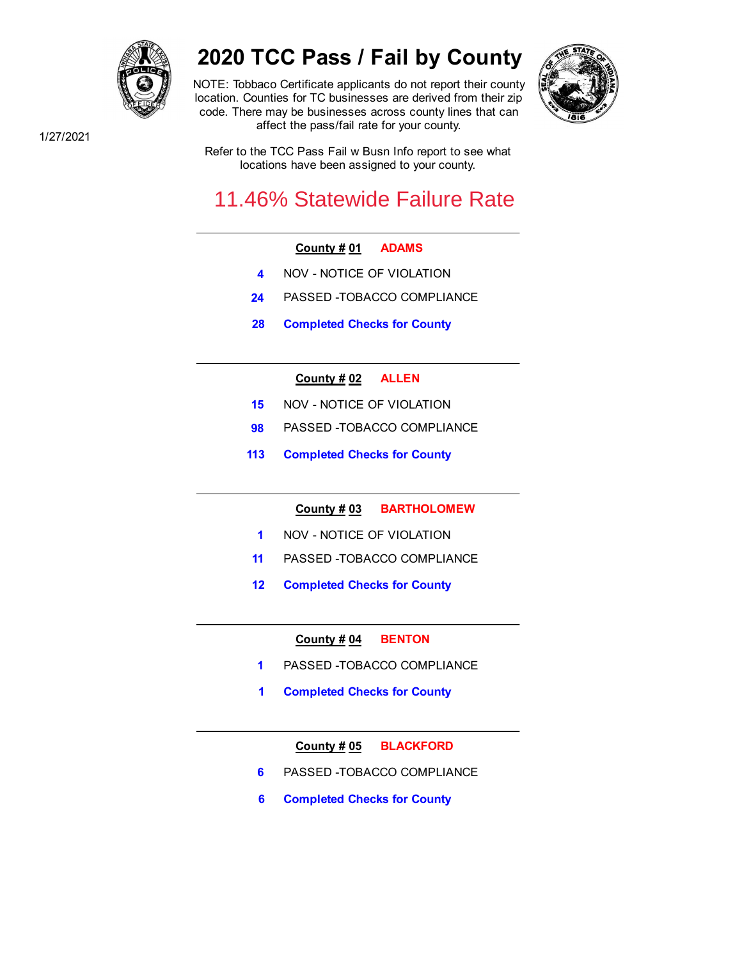

# 2020 TCC Pass / Fail by County

NOTE: Tobbaco Certificate applicants do not report their county location. Counties for TC businesses are derived from their zip code. There may be businesses across county lines that can affect the pass/fail rate for your county.



1/27/2021

Refer to the TCC Pass Fail w Busn Info report to see what locations have been assigned to your county.

# 11.46% Statewide Failure Rate

# County # 01 ADAMS

- 4 NOV NOTICE OF VIOLATION
- 24 PASSED -TOBACCO COMPLIANCE
- 28 Completed Checks for County

## County # 02 ALLEN

- 15 NOV NOTICE OF VIOLATION
- 98 PASSED -TOBACCO COMPLIANCE
- 113 Completed Checks for County

County # 03 BARTHOLOMEW

- 1 NOV NOTICE OF VIOLATION
- 11 PASSED -TOBACCO COMPLIANCE
- 12 Completed Checks for County

## County # 04 BENTON

- 1 PASSED -TOBACCO COMPLIANCE
- 1 Completed Checks for County

## County # 05 BLACKFORD

- 6 PASSED -TOBACCO COMPLIANCE
- 6 Completed Checks for County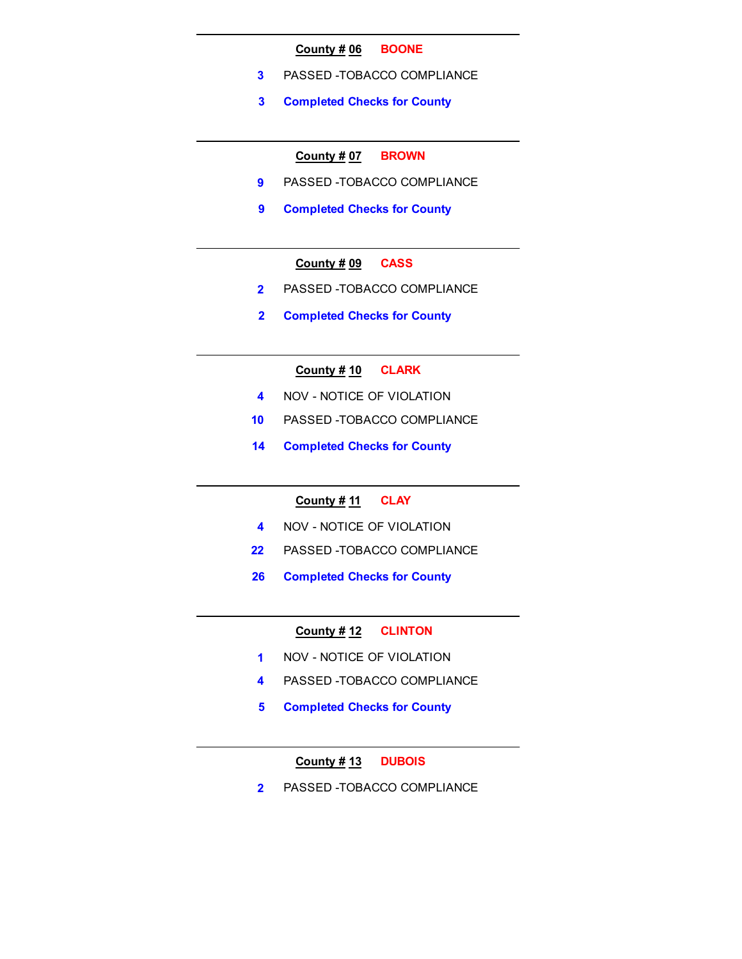#### County # 06 BOONE

- 3 PASSED -TOBACCO COMPLIANCE
- 3 Completed Checks for County

## County # 07 BROWN

- 9 PASSED -TOBACCO COMPLIANCE
- 9 Completed Checks for County

## County  $\frac{\#}{109}$  CASS

- 2 PASSED -TOBACCO COMPLIANCE
- 2 Completed Checks for County

#### County  $\frac{\#}{10}$  CLARK

- 4 NOV NOTICE OF VIOLATION
- 10 PASSED -TOBACCO COMPLIANCE
- 14 Completed Checks for County

#### County # 11 CLAY

- 4 NOV NOTICE OF VIOLATION
- 22 PASSED -TOBACCO COMPLIANCE
- 26 Completed Checks for County

### County # 12 CLINTON

- 1 NOV NOTICE OF VIOLATION
- 4 PASSED -TOBACCO COMPLIANCE
- 5 Completed Checks for County

#### County # 13 DUBOIS

2 PASSED -TOBACCO COMPLIANCE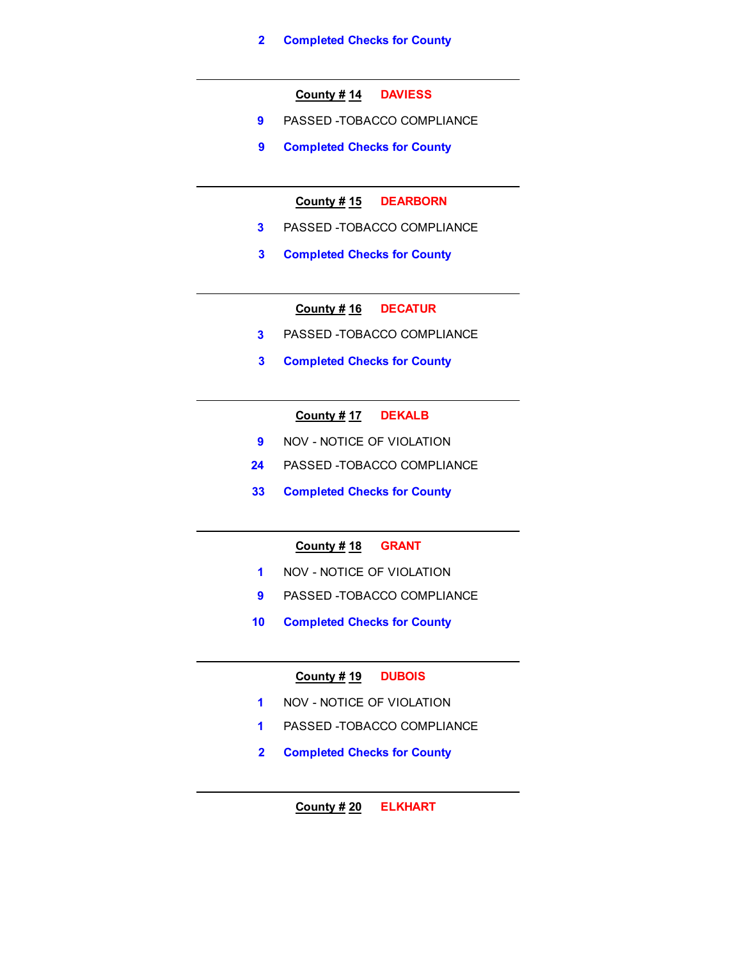## County # 14 DAVIESS

- 9 PASSED -TOBACCO COMPLIANCE
- 9 Completed Checks for County

County # 15 DEARBORN

- 3 PASSED -TOBACCO COMPLIANCE
- 3 Completed Checks for County

County # 16 DECATUR

- 3 PASSED -TOBACCO COMPLIANCE
- 3 Completed Checks for County

## County # 17 DEKALB

- 9 NOV NOTICE OF VIOLATION
- 24 PASSED -TOBACCO COMPLIANCE
- 33 Completed Checks for County

## County # 18 GRANT

- 1 NOV NOTICE OF VIOLATION
- 9 PASSED -TOBACCO COMPLIANCE
- 10 Completed Checks for County

## County # 19 DUBOIS

- 1 NOV NOTICE OF VIOLATION
- 1 PASSED -TOBACCO COMPLIANCE
- 2 Completed Checks for County

County # 20 ELKHART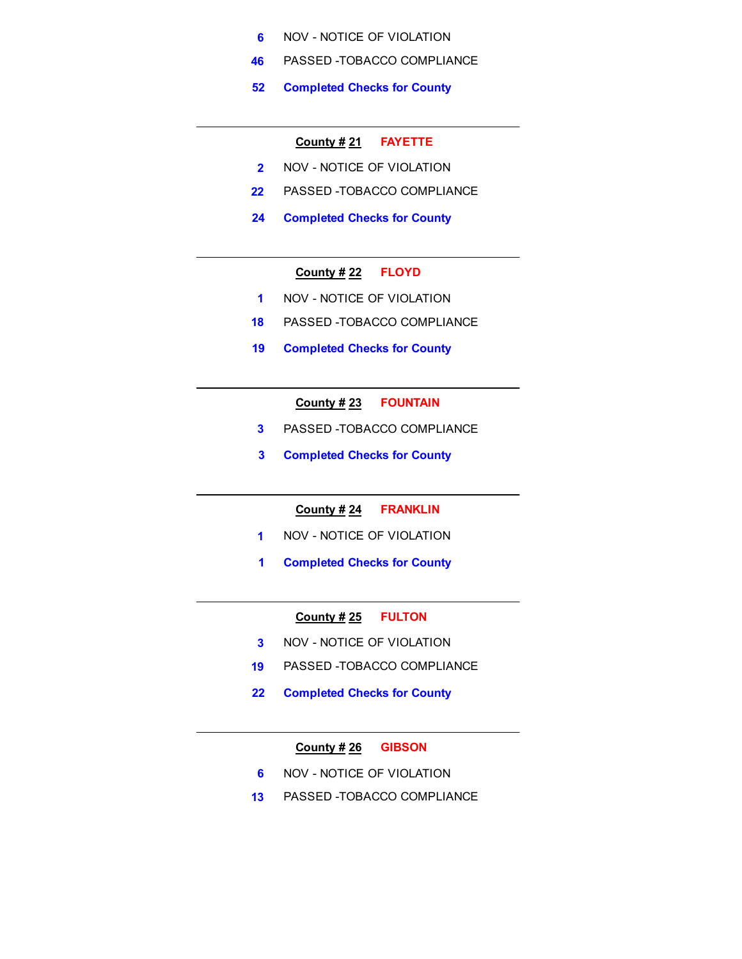- 6 NOV NOTICE OF VIOLATION
- 46 PASSED -TOBACCO COMPLIANCE
- 52 Completed Checks for County

## County # 21 FAYETTE

- 2 NOV NOTICE OF VIOLATION
- 22 PASSED -TOBACCO COMPLIANCE
- 24 Completed Checks for County

#### County # 22 FLOYD

- 1 NOV NOTICE OF VIOLATION
- 18 PASSED -TOBACCO COMPLIANCE
- 19 Completed Checks for County

#### County # 23 FOUNTAIN

- 3 PASSED -TOBACCO COMPLIANCE
- 3 Completed Checks for County

## County # 24 FRANKLIN

- 1 NOV NOTICE OF VIOLATION
- 1 Completed Checks for County

#### County  $\frac{\text{# 25}}{\text{# 25}}$  FULTON

- 3 NOV NOTICE OF VIOLATION
- 19 PASSED -TOBACCO COMPLIANCE
- 22 Completed Checks for County

#### County # 26 GIBSON

- 6 NOV NOTICE OF VIOLATION
- 13 PASSED -TOBACCO COMPLIANCE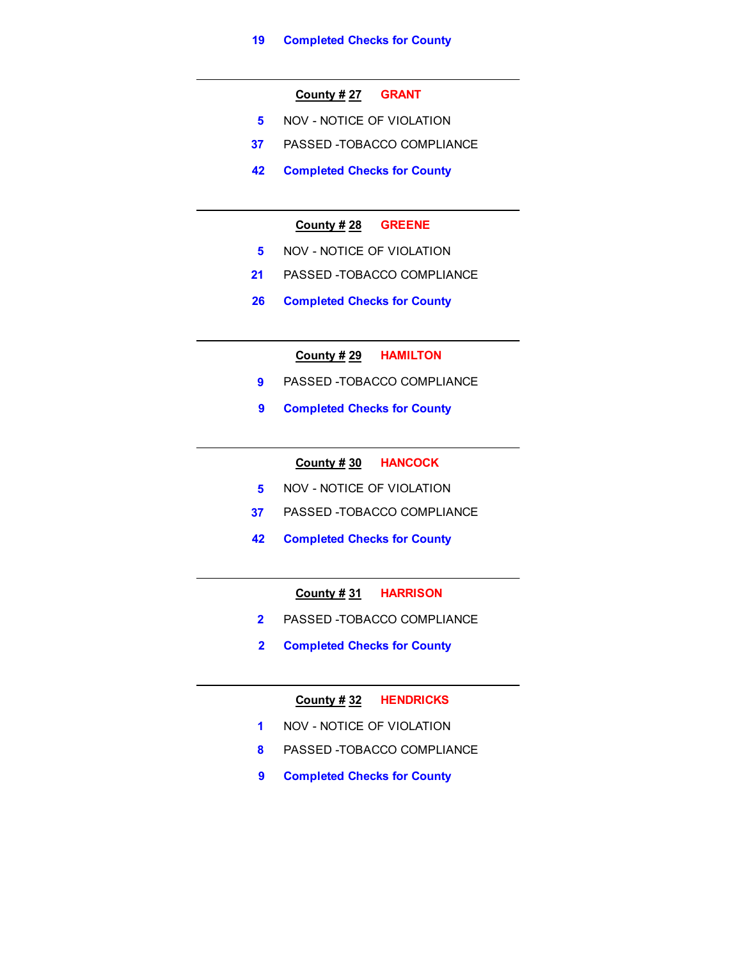## County # 27 GRANT

- 5 NOV NOTICE OF VIOLATION
- 37 PASSED -TOBACCO COMPLIANCE
- 42 Completed Checks for County

#### County  $\frac{\#}{28}$  GREENE

- 5 NOV NOTICE OF VIOLATION
- 21 PASSED -TOBACCO COMPLIANCE
- 26 Completed Checks for County

County # 29 HAMILTON

- 9 PASSED -TOBACCO COMPLIANCE
- 9 Completed Checks for County

County # 30 HANCOCK

- 5 NOV NOTICE OF VIOLATION
- 37 PASSED -TOBACCO COMPLIANCE
- 42 Completed Checks for County

# County # 31 HARRISON

- 2 PASSED -TOBACCO COMPLIANCE
- 2 Completed Checks for County

#### County # 32 HENDRICKS

- 1 NOV NOTICE OF VIOLATION
- 8 PASSED -TOBACCO COMPLIANCE
- 9 Completed Checks for County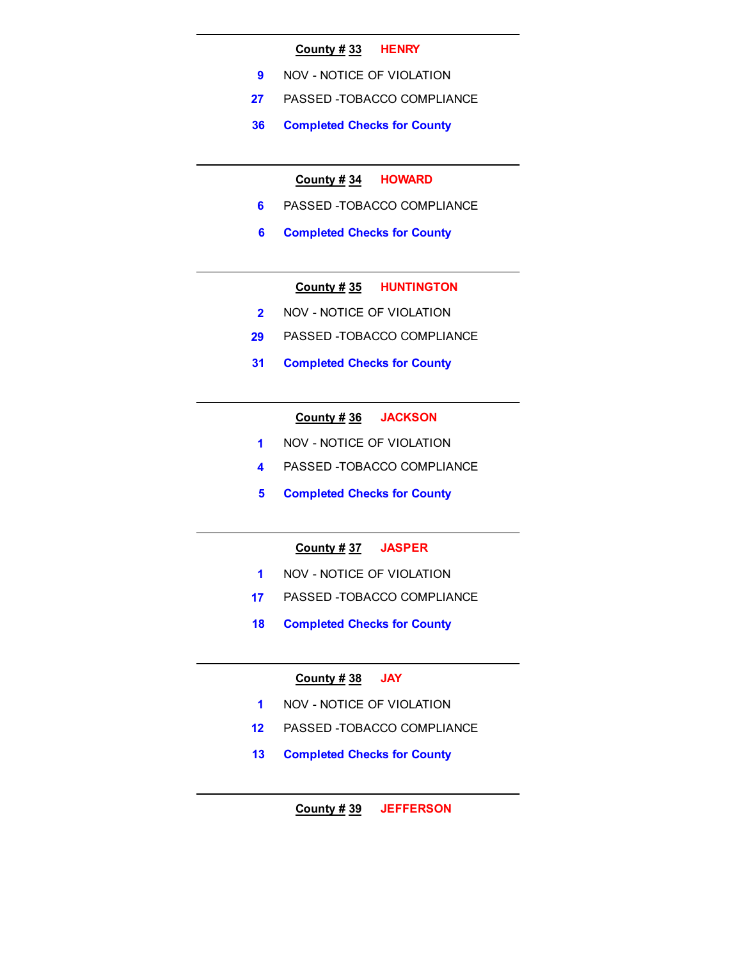#### County # 33 HENRY

- 9 NOV NOTICE OF VIOLATION
- 27 PASSED -TOBACCO COMPLIANCE
- 36 Completed Checks for County

County # 34 HOWARD

- 6 PASSED -TOBACCO COMPLIANCE
- 6 Completed Checks for County

County # 35 HUNTINGTON

- 2 NOV NOTICE OF VIOLATION
- 29 PASSED -TOBACCO COMPLIANCE
- 31 Completed Checks for County

## County # 36 JACKSON

- 1 NOV NOTICE OF VIOLATION
- 4 PASSED -TOBACCO COMPLIANCE
- 5 Completed Checks for County

## County # 37 JASPER

- 1 NOV NOTICE OF VIOLATION
- 17 PASSED -TOBACCO COMPLIANCE
- 18 Completed Checks for County

## County  $\frac{\#}{38}$  JAY

- 1 NOV NOTICE OF VIOLATION
- 12 PASSED -TOBACCO COMPLIANCE
- 13 Completed Checks for County

County # 39 JEFFERSON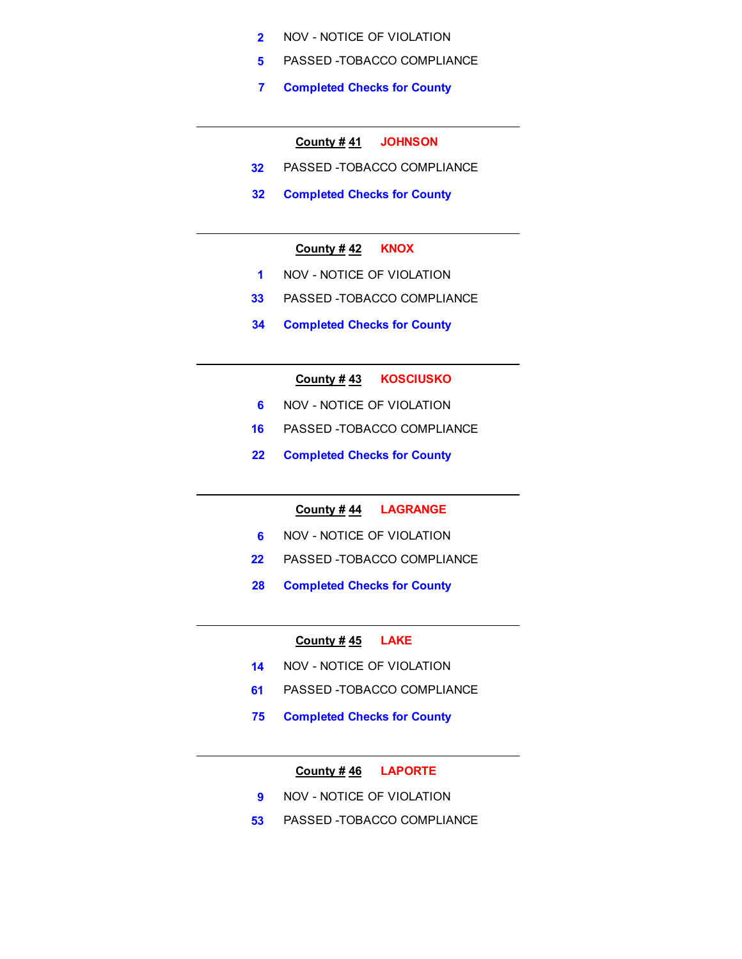- 2 NOV NOTICE OF VIOLATION
- 5 PASSED -TOBACCO COMPLIANCE
- 7 Completed Checks for County

County # 41 JOHNSON

- 32 PASSED -TOBACCO COMPLIANCE
- 32 Completed Checks for County

#### County  $\frac{\# 42}{\# 2}$  KNOX

- 1 NOV NOTICE OF VIOLATION
- 33 PASSED -TOBACCO COMPLIANCE
- 34 Completed Checks for County

## County # 43 KOSCIUSKO

- 6 NOV NOTICE OF VIOLATION
- 16 PASSED -TOBACCO COMPLIANCE
- 22 Completed Checks for County

#### County # 44 LAGRANGE

- 6 NOV NOTICE OF VIOLATION
- 22 PASSED -TOBACCO COMPLIANCE
- 28 Completed Checks for County

#### County  $\frac{\#}{45}$  LAKE

- 14 NOV NOTICE OF VIOLATION
- 61 PASSED -TOBACCO COMPLIANCE
- 75 Completed Checks for County

#### County # 46 LAPORTE

- 9 NOV NOTICE OF VIOLATION
- 53 PASSED -TOBACCO COMPLIANCE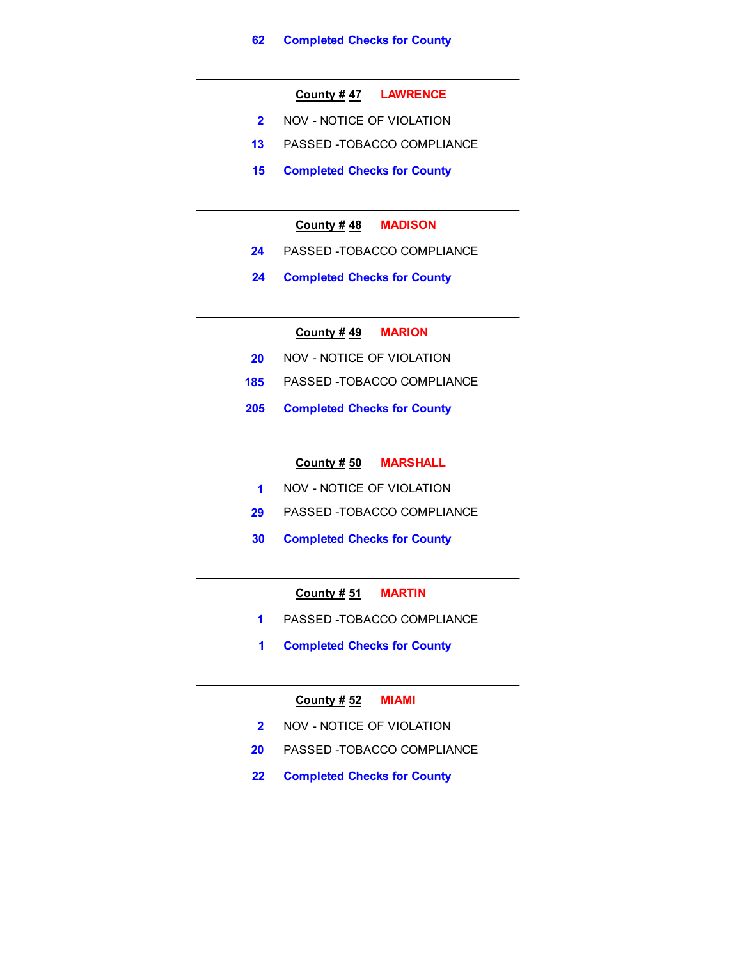## County # 47 LAWRENCE

- 2 NOV NOTICE OF VIOLATION
- 13 PASSED -TOBACCO COMPLIANCE
- 15 Completed Checks for County

#### County # 48 MADISON

- 24 PASSED -TOBACCO COMPLIANCE
- 24 Completed Checks for County

#### County # 49 MARION

- 20 NOV NOTICE OF VIOLATION
- 185 PASSED -TOBACCO COMPLIANCE
- 205 Completed Checks for County

## County # 50 MARSHALL

- 1 NOV NOTICE OF VIOLATION
- 29 PASSED -TOBACCO COMPLIANCE
- 30 Completed Checks for County

## County # 51 MARTIN

- 1 PASSED -TOBACCO COMPLIANCE
- 1 Completed Checks for County

#### County  $\frac{\#}{2}$  MIAMI

- 2 NOV NOTICE OF VIOLATION
- 20 PASSED -TOBACCO COMPLIANCE
- 22 Completed Checks for County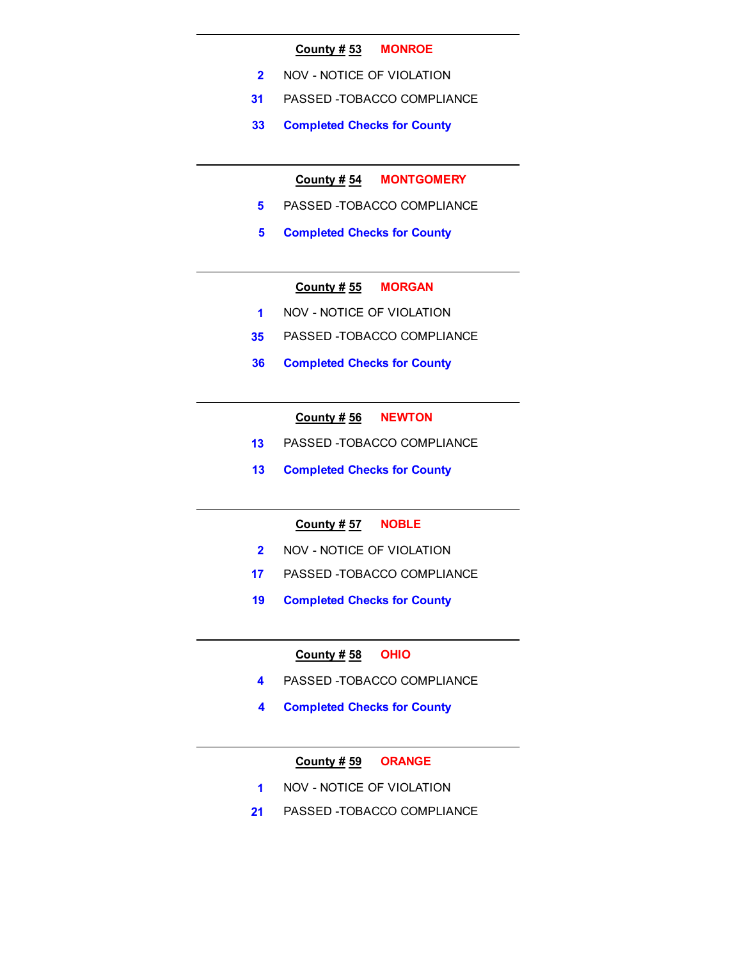#### County # 53 MONROE

- 2 NOV NOTICE OF VIOLATION
- 31 PASSED -TOBACCO COMPLIANCE
- 33 Completed Checks for County

County # 54 MONTGOMERY

- 5 PASSED -TOBACCO COMPLIANCE
- 5 Completed Checks for County

#### County # 55 MORGAN

- 1 NOV NOTICE OF VIOLATION
- 35 PASSED -TOBACCO COMPLIANCE
- 36 Completed Checks for County

## County # 56 NEWTON

- 13 PASSED -TOBACCO COMPLIANCE
- 13 Completed Checks for County

#### County  $\frac{\#}{57}$  NOBLE

- 2 NOV NOTICE OF VIOLATION
- 17 PASSED -TOBACCO COMPLIANCE
- 19 Completed Checks for County

#### County  $\frac{\text{# 58}}{100}$  OHIO

- 4 PASSED -TOBACCO COMPLIANCE
- 4 Completed Checks for County

## County # 59 ORANGE

- 1 NOV NOTICE OF VIOLATION
- 21 PASSED -TOBACCO COMPLIANCE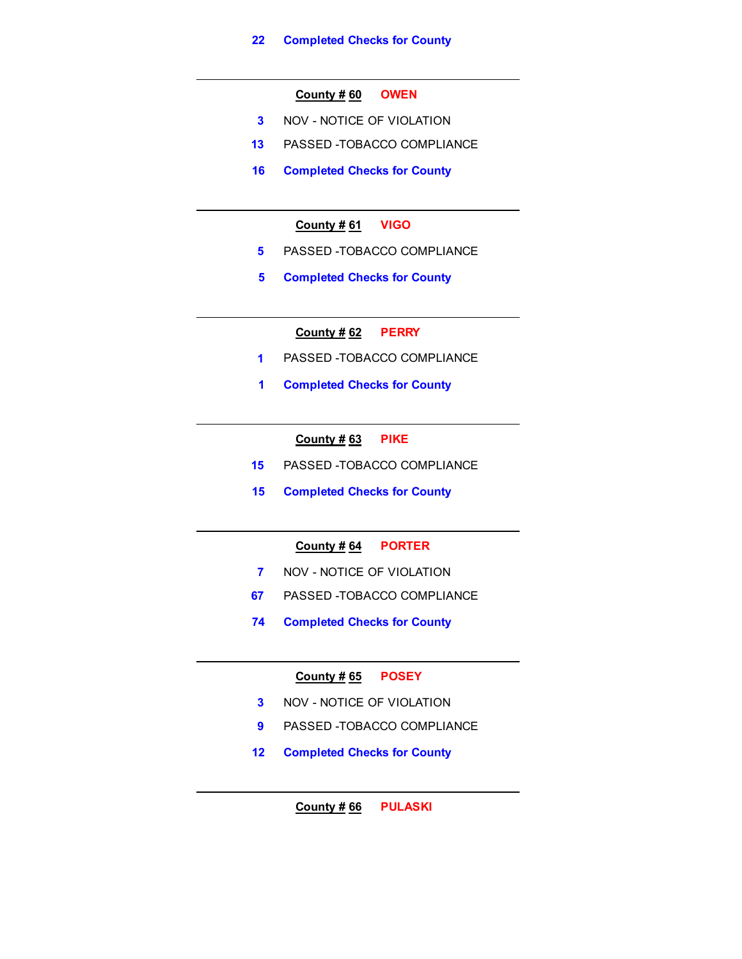## County  $\frac{\# 60}{2}$  OWEN

- 3 NOV NOTICE OF VIOLATION
- 13 PASSED -TOBACCO COMPLIANCE
- 16 Completed Checks for County

## County  $# 61$  VIGO

- 5 PASSED -TOBACCO COMPLIANCE
- 5 Completed Checks for County

## County # 62 PERRY

- 1 PASSED -TOBACCO COMPLIANCE
- 1 Completed Checks for County

## County  $\frac{\#}{63}$  PIKE

- 15 PASSED -TOBACCO COMPLIANCE
- 15 Completed Checks for County

# County # 64 PORTER

- 7 NOV NOTICE OF VIOLATION
- 67 PASSED -TOBACCO COMPLIANCE
- 74 Completed Checks for County

#### County  $\frac{\#}{65}$  POSEY

- 3 NOV NOTICE OF VIOLATION
- 9 PASSED -TOBACCO COMPLIANCE
- 12 Completed Checks for County

County # 66 PULASKI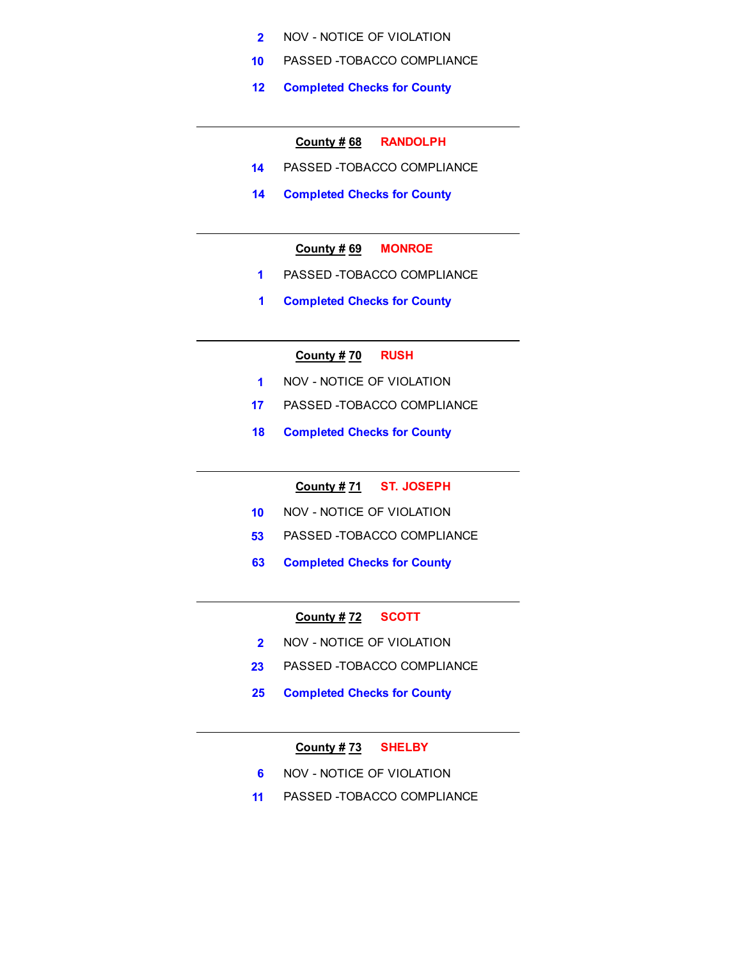- 2 NOV NOTICE OF VIOLATION
- 10 PASSED -TOBACCO COMPLIANCE
- 12 Completed Checks for County

County # 68 RANDOLPH

- 14 PASSED -TOBACCO COMPLIANCE
- 14 Completed Checks for County

County # 69 MONROE

- 1 PASSED -TOBACCO COMPLIANCE
- 1 Completed Checks for County

## County # 70 RUSH

- 1 NOV NOTICE OF VIOLATION
- 17 PASSED -TOBACCO COMPLIANCE
- 18 Completed Checks for County

County # 71 ST. JOSEPH

- 10 NOV NOTICE OF VIOLATION
- 53 PASSED -TOBACCO COMPLIANCE
- 63 Completed Checks for County

County # 72 SCOTT

- 2 NOV NOTICE OF VIOLATION
- 23 PASSED -TOBACCO COMPLIANCE
- 25 Completed Checks for County

#### County #73 SHELBY

- 6 NOV NOTICE OF VIOLATION
- 11 PASSED -TOBACCO COMPLIANCE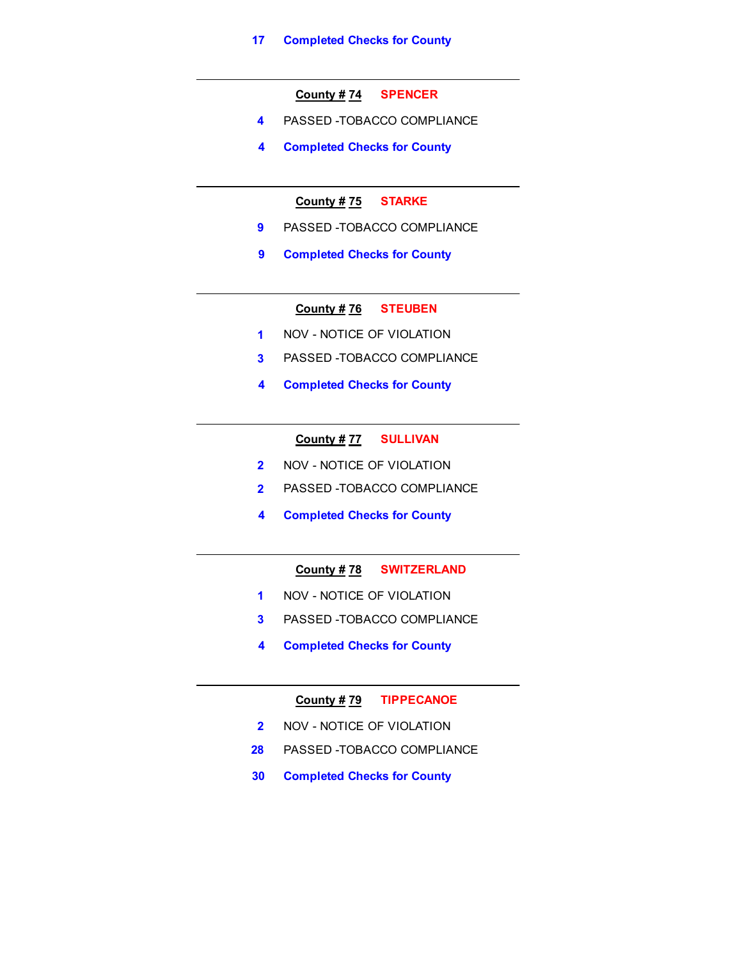#### County # 74 SPENCER

- 4 PASSED -TOBACCO COMPLIANCE
- 4 Completed Checks for County

#### County # 75 STARKE

- 9 PASSED -TOBACCO COMPLIANCE
- 9 Completed Checks for County

#### County # 76 STEUBEN

- 1 NOV NOTICE OF VIOLATION
- 3 PASSED -TOBACCO COMPLIANCE
- 4 Completed Checks for County

## County # 77 SULLIVAN

- 2 NOV NOTICE OF VIOLATION
- 2 PASSED -TOBACCO COMPLIANCE
- 4 Completed Checks for County

#### County # 78 SWITZERLAND

- 1 NOV NOTICE OF VIOLATION
- 3 PASSED -TOBACCO COMPLIANCE
- 4 Completed Checks for County

#### County # 79 TIPPECANOE

- 2 NOV NOTICE OF VIOLATION
- 28 PASSED -TOBACCO COMPLIANCE
- 30 Completed Checks for County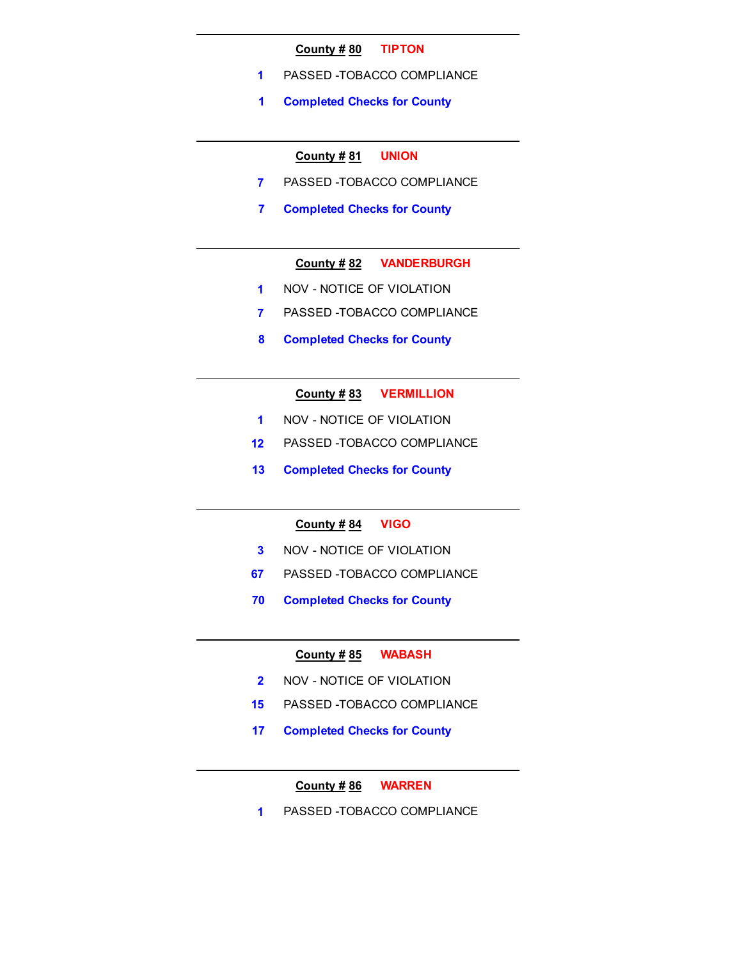#### County # 80 TIPTON

- 1 PASSED -TOBACCO COMPLIANCE
- 1 Completed Checks for County

## County #81 UNION

- 7 PASSED -TOBACCO COMPLIANCE
- 7 Completed Checks for County

## County # 82 VANDERBURGH

- 1 NOV NOTICE OF VIOLATION
- 7 PASSED -TOBACCO COMPLIANCE
- 8 Completed Checks for County

#### County # 83 VERMILLION

- 1 NOV NOTICE OF VIOLATION
- 12 PASSED -TOBACCO COMPLIANCE
- 13 Completed Checks for County

#### County  $\frac{\#}{4}$  S4 VIGO

- 3 NOV NOTICE OF VIOLATION
- 67 PASSED -TOBACCO COMPLIANCE
- 70 Completed Checks for County

#### County # 85 WABASH

- 2 NOV NOTICE OF VIOLATION
- 15 PASSED -TOBACCO COMPLIANCE
- 17 Completed Checks for County

## County # 86 WARREN

1 PASSED -TOBACCO COMPLIANCE